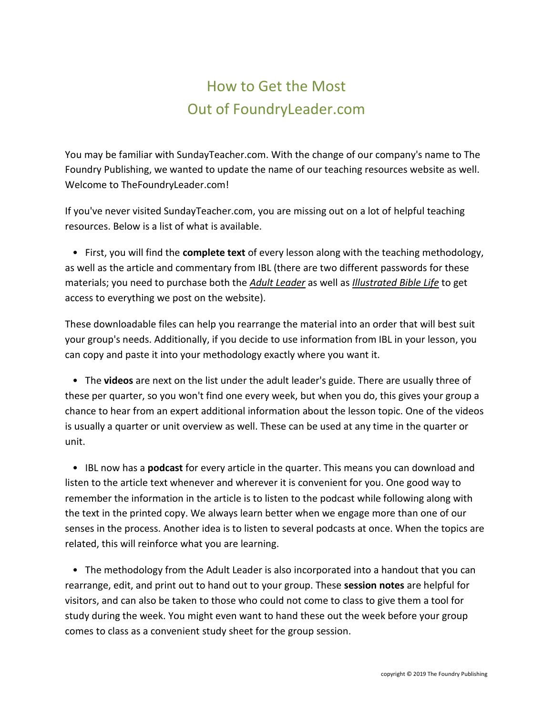## How to Get the Most Out of FoundryLeader.com

You may be familiar with SundayTeacher.com. With the change of our company's name to The Foundry Publishing, we wanted to update the name of our teaching resources website as well. Welcome to TheFoundryLeader.com!

If you've never visited SundayTeacher.com, you are missing out on a lot of helpful teaching resources. Below is a list of what is available.

 • First, you will find the **complete text** of every lesson along with the teaching methodology, as well as the article and commentary from IBL (there are two different passwords for these materials; you need to purchase both the *Adult Leader* as well as *Illustrated Bible Life* to get access to everything we post on the website).

These downloadable files can help you rearrange the material into an order that will best suit your group's needs. Additionally, if you decide to use information from IBL in your lesson, you can copy and paste it into your methodology exactly where you want it.

 • The **videos** are next on the list under the adult leader's guide. There are usually three of these per quarter, so you won't find one every week, but when you do, this gives your group a chance to hear from an expert additional information about the lesson topic. One of the videos is usually a quarter or unit overview as well. These can be used at any time in the quarter or unit.

 • IBL now has a **podcast** for every article in the quarter. This means you can download and listen to the article text whenever and wherever it is convenient for you. One good way to remember the information in the article is to listen to the podcast while following along with the text in the printed copy. We always learn better when we engage more than one of our senses in the process. Another idea is to listen to several podcasts at once. When the topics are related, this will reinforce what you are learning.

 • The methodology from the Adult Leader is also incorporated into a handout that you can rearrange, edit, and print out to hand out to your group. These **session notes** are helpful for visitors, and can also be taken to those who could not come to class to give them a tool for study during the week. You might even want to hand these out the week before your group comes to class as a convenient study sheet for the group session.